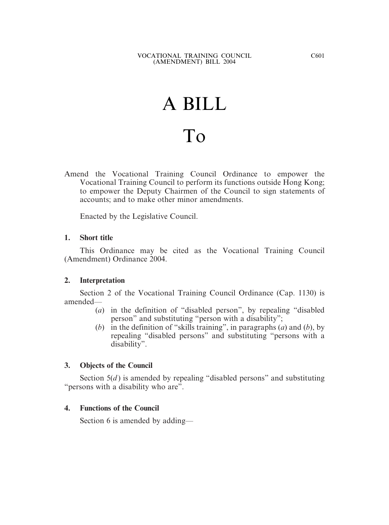# A BILL To

Amend the Vocational Training Council Ordinance to empower the Vocational Training Council to perform its functions outside Hong Kong; to empower the Deputy Chairmen of the Council to sign statements of accounts; and to make other minor amendments.

Enacted by the Legislative Council.

### **1. Short title**

This Ordinance may be cited as the Vocational Training Council (Amendment) Ordinance 2004.

#### **2. Interpretation**

Section 2 of the Vocational Training Council Ordinance (Cap. 1130) is amended—

- (*a*) in the definition of "disabled person", by repealing "disabled person" and substituting "person with a disability";
- (*b*) in the definition of "skills training", in paragraphs (*a*) and (*b*), by repealing "disabled persons" and substituting "persons with a disability".

### **3. Objects of the Council**

Section 5(*d*) is amended by repealing "disabled persons" and substituting "persons with a disability who are".

### **4. Functions of the Council**

Section 6 is amended by adding—